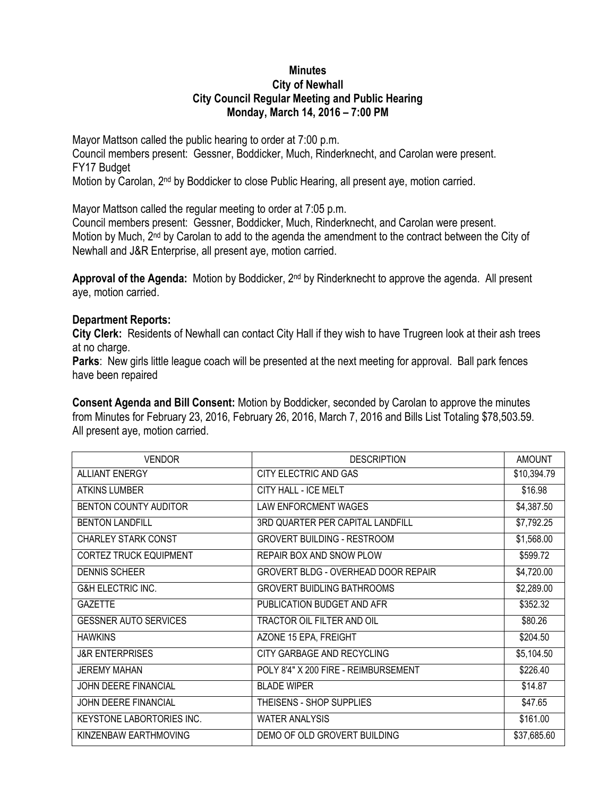## **Minutes City of Newhall City Council Regular Meeting and Public Hearing Monday, March 14, 2016 – 7:00 PM**

Mayor Mattson called the public hearing to order at 7:00 p.m. Council members present: Gessner, Boddicker, Much, Rinderknecht, and Carolan were present. FY17 Budget Motion by Carolan, 2<sup>nd</sup> by Boddicker to close Public Hearing, all present aye, motion carried.

Mayor Mattson called the regular meeting to order at 7:05 p.m.

Council members present: Gessner, Boddicker, Much, Rinderknecht, and Carolan were present. Motion by Much, 2<sup>nd</sup> by Carolan to add to the agenda the amendment to the contract between the City of Newhall and J&R Enterprise, all present aye, motion carried.

**Approval of the Agenda:** Motion by Boddicker, 2nd by Rinderknecht to approve the agenda. All present aye, motion carried.

## **Department Reports:**

**City Clerk:** Residents of Newhall can contact City Hall if they wish to have Trugreen look at their ash trees at no charge.

**Parks**: New girls little league coach will be presented at the next meeting for approval. Ball park fences have been repaired

**Consent Agenda and Bill Consent:** Motion by Boddicker, seconded by Carolan to approve the minutes from Minutes for February 23, 2016, February 26, 2016, March 7, 2016 and Bills List Totaling \$78,503.59. All present aye, motion carried.

| <b>VENDOR</b>                    | <b>DESCRIPTION</b>                         | <b>AMOUNT</b> |
|----------------------------------|--------------------------------------------|---------------|
| <b>ALLIANT ENERGY</b>            | CITY ELECTRIC AND GAS                      | \$10,394.79   |
| <b>ATKINS LUMBER</b>             | CITY HALL - ICE MELT                       | \$16.98       |
| <b>BENTON COUNTY AUDITOR</b>     | <b>LAW ENFORCMENT WAGES</b>                | \$4,387.50    |
| <b>BENTON LANDFILL</b>           | 3RD QUARTER PER CAPITAL LANDFILL           | \$7,792.25    |
| <b>CHARLEY STARK CONST</b>       | <b>GROVERT BUILDING - RESTROOM</b>         | \$1,568.00    |
| <b>CORTEZ TRUCK EQUIPMENT</b>    | REPAIR BOX AND SNOW PLOW                   | \$599.72      |
| <b>DENNIS SCHEER</b>             | <b>GROVERT BLDG - OVERHEAD DOOR REPAIR</b> | \$4,720.00    |
| <b>G&amp;H ELECTRIC INC.</b>     | <b>GROVERT BUIDLING BATHROOMS</b>          | \$2,289.00    |
| <b>GAZETTE</b>                   | PUBLICATION BUDGET AND AFR                 | \$352.32      |
| <b>GESSNER AUTO SERVICES</b>     | TRACTOR OIL FILTER AND OIL                 | \$80.26       |
| <b>HAWKINS</b>                   | AZONE 15 EPA, FREIGHT                      | \$204.50      |
| <b>J&amp;R ENTERPRISES</b>       | CITY GARBAGE AND RECYCLING                 | \$5,104.50    |
| <b>JEREMY MAHAN</b>              | POLY 8'4" X 200 FIRE - REIMBURSEMENT       | \$226.40      |
| JOHN DEERE FINANCIAL             | <b>BLADE WIPER</b>                         | \$14.87       |
| JOHN DEERE FINANCIAL             | THEISENS - SHOP SUPPLIES                   | \$47.65       |
| <b>KEYSTONE LABORTORIES INC.</b> | <b>WATER ANALYSIS</b>                      | \$161.00      |
| KINZENBAW EARTHMOVING            | DEMO OF OLD GROVERT BUILDING               | \$37,685.60   |